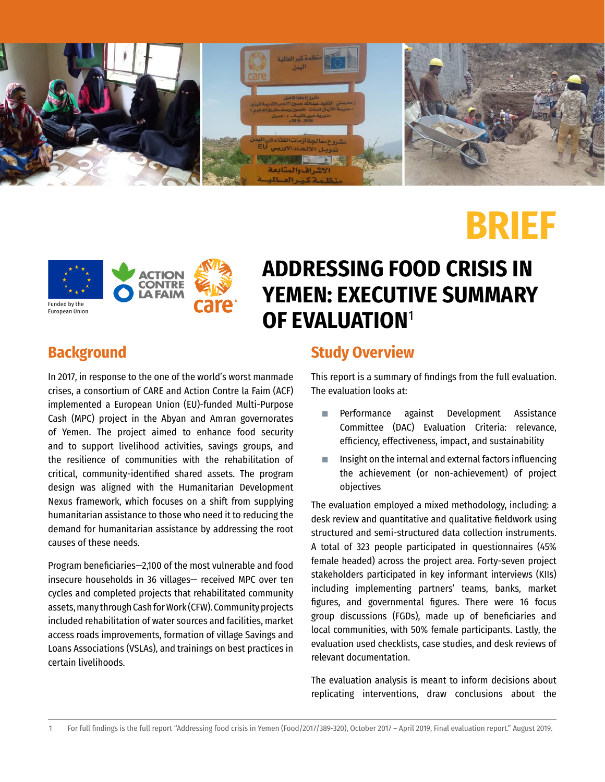

# **BRIEF**



## **ADDRESSING FOOD CRISIS IN YEMEN: EXECUTIVE SUMMARY OF EVALUATION**<sup>1</sup>

## **Background**

In 2017, in response to the one of the world's worst manmade crises, a consortium of CARE and Action Contre la Faim (ACF) implemented a European Union (EU)-funded Multi-Purpose Cash (MPC) project in the Abyan and Amran governorates of Yemen. The project aimed to enhance food security and to support livelihood activities, savings groups, and the resilience of communities with the rehabilitation of critical, community-identified shared assets. The program design was aligned with the Humanitarian Development Nexus framework, which focuses on a shift from supplying humanitarian assistance to those who need it to reducing the demand for humanitarian assistance by addressing the root causes of these needs.

Program beneficiaries—2,100 of the most vulnerable and food insecure households in 36 villages— received MPC over ten cycles and completed projects that rehabilitated community assets, many through Cash for Work (CFW). Community projects included rehabilitation of water sources and facilities, market access roads improvements, formation of village Savings and Loans Associations (VSLAs), and trainings on best practices in certain livelihoods.

## **Study Overview**

This report is a summary of findings from the full evaluation. The evaluation looks at:

- Performance against Development Assistance Committee (DAC) Evaluation Criteria: relevance, efficiency, effectiveness, impact, and sustainability
- Insight on the internal and external factors influencing the achievement (or non-achievement) of project objectives

The evaluation employed a mixed methodology, including: a desk review and quantitative and qualitative fieldwork using structured and semi-structured data collection instruments. A total of 323 people participated in questionnaires (45% female headed) across the project area. Forty-seven project stakeholders participated in key informant interviews (KIIs) including implementing partners' teams, banks, market figures, and governmental figures. There were 16 focus group discussions (FGDs), made up of beneficiaries and local communities, with 50% female participants. Lastly, the evaluation used checklists, case studies, and desk reviews of relevant documentation.

The evaluation analysis is meant to inform decisions about replicating interventions, draw conclusions about the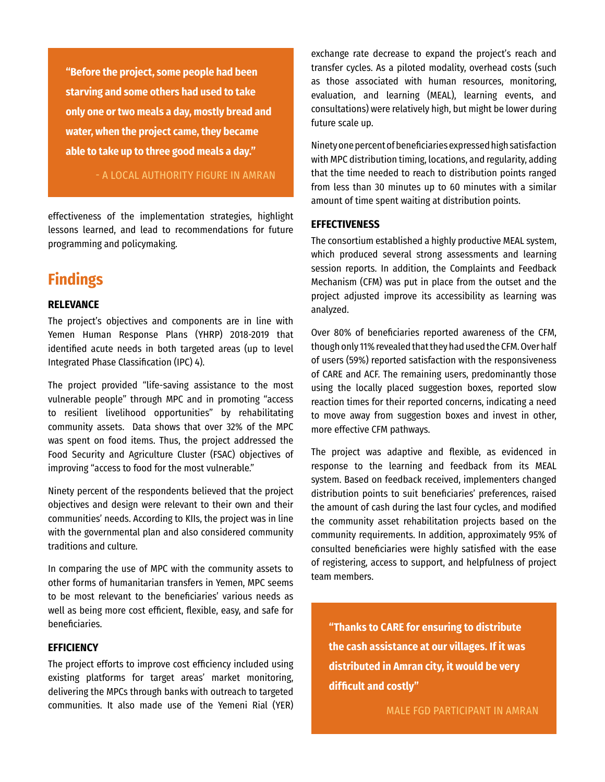**"Before the project, some people had been starving and some others had used to take only one or two meals a day, mostly bread and water, when the project came, they became able to take up to three good meals a day."** 

## - A LOCAL AUTHORITY FIGURE IN AMRAN

effectiveness of the implementation strategies, highlight lessons learned, and lead to recommendations for future programming and policymaking.

## **Findings**

#### **RELEVANCE**

The project's objectives and components are in line with Yemen Human Response Plans (YHRP) 2018-2019 that identified acute needs in both targeted areas (up to level Integrated Phase Classification (IPC) 4).

The project provided "life-saving assistance to the most vulnerable people" through MPC and in promoting "access to resilient livelihood opportunities" by rehabilitating community assets. Data shows that over 32% of the MPC was spent on food items. Thus, the project addressed the Food Security and Agriculture Cluster (FSAC) objectives of improving "access to food for the most vulnerable."

Ninety percent of the respondents believed that the project objectives and design were relevant to their own and their communities' needs. According to KIIs, the project was in line with the governmental plan and also considered community traditions and culture.

In comparing the use of MPC with the community assets to other forms of humanitarian transfers in Yemen, MPC seems to be most relevant to the beneficiaries' various needs as well as being more cost efficient, flexible, easy, and safe for beneficiaries.

### **EFFICIENCY**

The project efforts to improve cost efficiency included using existing platforms for target areas' market monitoring, delivering the MPCs through banks with outreach to targeted communities. It also made use of the Yemeni Rial (YER) exchange rate decrease to expand the project's reach and transfer cycles. As a piloted modality, overhead costs (such as those associated with human resources, monitoring, evaluation, and learning (MEAL), learning events, and consultations) were relatively high, but might be lower during future scale up.

Ninety one percent of beneficiaries expressed high satisfaction with MPC distribution timing, locations, and regularity, adding that the time needed to reach to distribution points ranged from less than 30 minutes up to 60 minutes with a similar amount of time spent waiting at distribution points.

#### **EFFECTIVENESS**

The consortium established a highly productive MEAL system, which produced several strong assessments and learning session reports. In addition, the Complaints and Feedback Mechanism (CFM) was put in place from the outset and the project adjusted improve its accessibility as learning was analyzed.

Over 80% of beneficiaries reported awareness of the CFM, though only 11% revealed that they had used the CFM. Over half of users (59%) reported satisfaction with the responsiveness of CARE and ACF. The remaining users, predominantly those using the locally placed suggestion boxes, reported slow reaction times for their reported concerns, indicating a need to move away from suggestion boxes and invest in other, more effective CFM pathways.

The project was adaptive and flexible, as evidenced in response to the learning and feedback from its MEAL system. Based on feedback received, implementers changed distribution points to suit beneficiaries' preferences, raised the amount of cash during the last four cycles, and modified the community asset rehabilitation projects based on the community requirements. In addition, approximately 95% of consulted beneficiaries were highly satisfied with the ease of registering, access to support, and helpfulness of project team members.

**"Thanks to CARE for ensuring to distribute the cash assistance at our villages. If it was distributed in Amran city, it would be very difficult and costly"**

MALE FGD PARTICIPANT IN AMRAN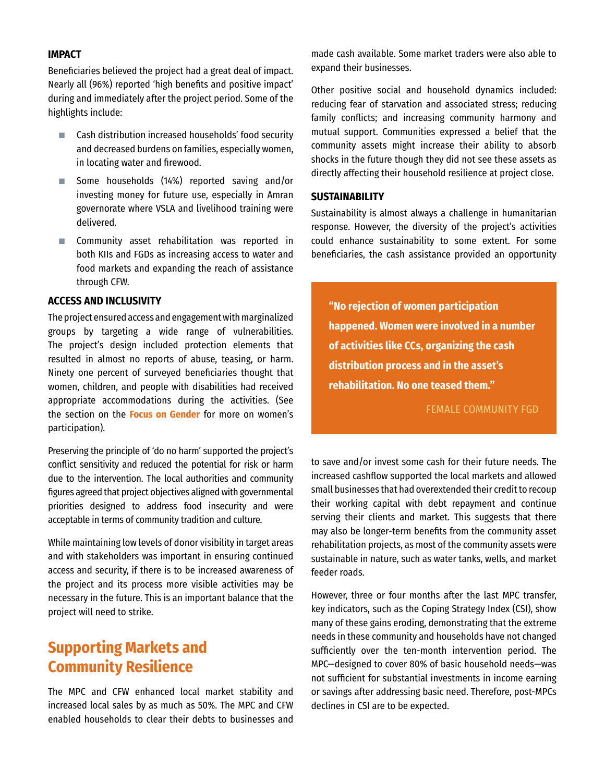#### **IMPACT**

Beneficiaries believed the project had a great deal of impact. Nearly all (96%) reported 'high benefits and positive impact' during and immediately after the project period. Some of the highlights include:

- Cash distribution increased households' food security and decreased burdens on families, especially women, in locating water and firewood.
- Some households (14%) reported saving and/or investing money for future use, especially in Amran governorate where VSLA and livelihood training were delivered.
- Community asset rehabilitation was reported in both KIIs and FGDs as increasing access to water and food markets and expanding the reach of assistance through CFW.

### **ACCESS AND INCLUSIVITY**

The project ensured access and engagement with marginalized groups by targeting a wide range of vulnerabilities. The project's design included protection elements that resulted in almost no reports of abuse, teasing, or harm. Ninety one percent of surveyed beneficiaries thought that women, children, and people with disabilities had received appropriate accommodations during the activities. (See the section on the **Focus on Gender** for more on women's participation).

Preserving the principle of 'do no harm' supported the project's conflict sensitivity and reduced the potential for risk or harm due to the intervention. The local authorities and community figures agreed that project objectives aligned with governmental priorities designed to address food insecurity and were acceptable in terms of community tradition and culture.

While maintaining low levels of donor visibility in target areas and with stakeholders was important in ensuring continued access and security, if there is to be increased awareness of the project and its process more visible activities may be necessary in the future. This is an important balance that the project will need to strike.

## **Supporting Markets and Community Resilience**

The MPC and CFW enhanced local market stability and increased local sales by as much as 50%. The MPC and CFW enabled households to clear their debts to businesses and

made cash available. Some market traders were also able to expand their businesses.

Other positive social and household dynamics included: reducing fear of starvation and associated stress; reducing family conflicts; and increasing community harmony and mutual support. Communities expressed a belief that the community assets might increase their ability to absorb shocks in the future though they did not see these assets as directly affecting their household resilience at project close.

### **SUSTAINABILITY**

Sustainability is almost always a challenge in humanitarian response. However, the diversity of the project's activities could enhance sustainability to some extent. For some beneficiaries, the cash assistance provided an opportunity

**"No rejection of women participation happened. Women were involved in a number of activities like CCs, organizing the cash distribution process and in the asset's rehabilitation. No one teased them."** 

FEMALE COMMUNITY FGD

to save and/or invest some cash for their future needs. The increased cashflow supported the local markets and allowed small businesses that had overextended their credit to recoup their working capital with debt repayment and continue serving their clients and market. This suggests that there may also be longer-term benefits from the community asset rehabilitation projects, as most of the community assets were sustainable in nature, such as water tanks, wells, and market feeder roads.

However, three or four months after the last MPC transfer, key indicators, such as the Coping Strategy Index (CSI), show many of these gains eroding, demonstrating that the extreme needs in these community and households have not changed sufficiently over the ten-month intervention period. The MPC—designed to cover 80% of basic household needs—was not sufficient for substantial investments in income earning or savings after addressing basic need. Therefore, post-MPCs declines in CSI are to be expected.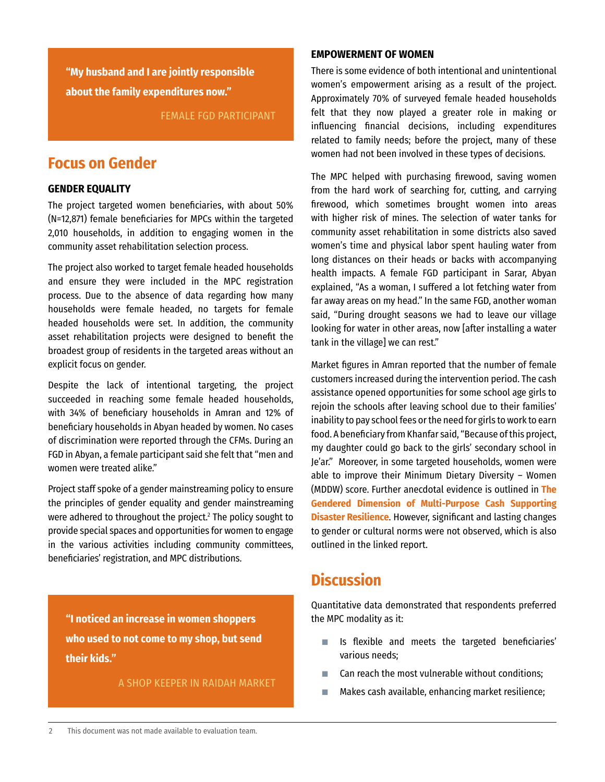**"My husband and I are jointly responsible about the family expenditures now."** 

FEMALE FGD PARTICIPANT

## **Focus on Gender**

### **GENDER EQUALITY**

The project targeted women beneficiaries, with about 50% (N=12,871) female beneficiaries for MPCs within the targeted 2,010 households, in addition to engaging women in the community asset rehabilitation selection process.

The project also worked to target female headed households and ensure they were included in the MPC registration process. Due to the absence of data regarding how many households were female headed, no targets for female headed households were set. In addition, the community asset rehabilitation projects were designed to benefit the broadest group of residents in the targeted areas without an explicit focus on gender.

Despite the lack of intentional targeting, the project succeeded in reaching some female headed households, with 34% of beneficiary households in Amran and 12% of beneficiary households in Abyan headed by women. No cases of discrimination were reported through the CFMs. During an FGD in Abyan, a female participant said she felt that "men and women were treated alike."

Project staff spoke of a gender mainstreaming policy to ensure the principles of gender equality and gender mainstreaming were adhered to throughout the project.<sup>2</sup> The policy sought to provide special spaces and opportunities for women to engage in the various activities including community committees, beneficiaries' registration, and MPC distributions.

**"I noticed an increase in women shoppers who used to not come to my shop, but send their kids."** 

A SHOP KEEPER IN RAIDAH MARKET

#### **EMPOWERMENT OF WOMEN**

There is some evidence of both intentional and unintentional women's empowerment arising as a result of the project. Approximately 70% of surveyed female headed households felt that they now played a greater role in making or influencing financial decisions, including expenditures related to family needs; before the project, many of these women had not been involved in these types of decisions.

The MPC helped with purchasing firewood, saving women from the hard work of searching for, cutting, and carrying firewood, which sometimes brought women into areas with higher risk of mines. The selection of water tanks for community asset rehabilitation in some districts also saved women's time and physical labor spent hauling water from long distances on their heads or backs with accompanying health impacts. A female FGD participant in Sarar, Abyan explained, "As a woman, I suffered a lot fetching water from far away areas on my head." In the same FGD, another woman said, "During drought seasons we had to leave our village looking for water in other areas, now [after installing a water tank in the village] we can rest."

Market figures in Amran reported that the number of female customers increased during the intervention period. The cash assistance opened opportunities for some school age girls to rejoin the schools after leaving school due to their families' inability to pay school fees or the need for girls to work to earn food. A beneficiary from Khanfar said, "Because of this project, my daughter could go back to the girls' secondary school in Je'ar." Moreover, in some targeted households, women were able to improve their Minimum Dietary Diversity – Women (MDDW) score. Further anecdotal evidence is outlined in **[The](https://reliefweb.int/report/yemen/gendered-dimension-multi-purpose-cash-supporting-disaster-resilience) [Gendered Dimension of Multi-Purpose Cash Supporting](https://reliefweb.int/report/yemen/gendered-dimension-multi-purpose-cash-supporting-disaster-resilience) [Disaster Resilience](https://reliefweb.int/report/yemen/gendered-dimension-multi-purpose-cash-supporting-disaster-resilience)**. However, significant and lasting changes to gender or cultural norms were not observed, which is also outlined in the linked report.

## **Discussion**

Quantitative data demonstrated that respondents preferred the MPC modality as it:

- Is flexible and meets the targeted beneficiaries' various needs;
- Can reach the most vulnerable without conditions;
- Makes cash available, enhancing market resilience;